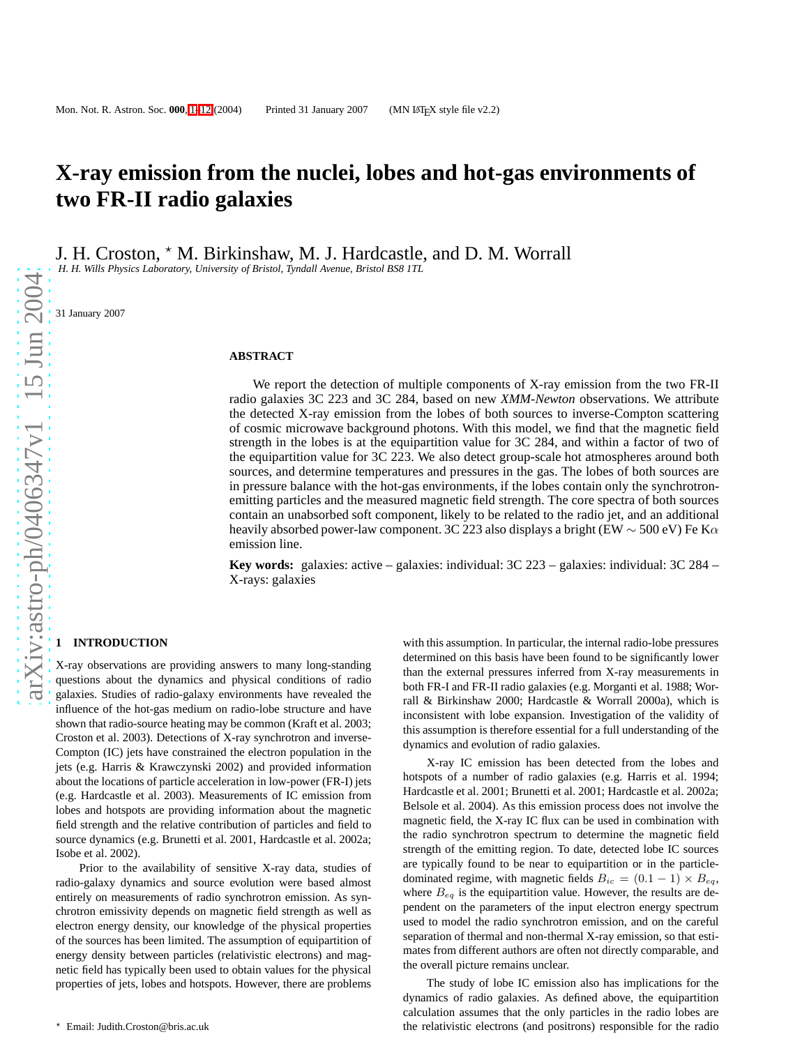# **X-ray emission from the nuclei, lobes and hot-gas environments of two FR-II radio galaxies**

J. H. Croston,  $*$  M. Birkinshaw, M. J. Hardcastle, and D. M. Worrall

*H. H. Wills Physics Laboratory, University of Bristol, Tyndall Avenue, Bristol BS8 1TL*

31 January 2007

#### **ABSTRACT**

We report the detection of multiple components of X-ray emission from the two FR-II radio galaxies 3C 223 and 3C 284, based on new *XMM-Newton* observations. We attribute the detected X-ray emission from the lobes of both sources to inverse-Compton scattering of cosmic microwave background photons. With this model, we find that the magnetic field strength in the lobes is at the equipartition value for 3C 284, and within a factor of two of the equipartition value for 3C 223. We also detect group-scale hot atmospheres around both sources, and determine temperatures and pressures in the gas. The lobes of both sources are in pressure balance with the hot-gas environments, if the lobes contain only the synchrotronemitting particles and the measured magnetic field strength. The core spectra of both sources contain an unabsorbed soft component, likely to be related to the radio jet, and an additional heavily absorbed power-law component. 3C 223 also displays a bright (EW  $\sim$  500 eV) Fe K $\alpha$ emission line.

**Key words:** galaxies: active – galaxies: individual: 3C 223 – galaxies: individual: 3C 284 – X-rays: galaxies

## **1 INTRODUCTION**

X-ray observations are providing answers to many long-standing questions about the dynamics and physical conditions of radio galaxies. Studies of radio-galaxy environments have revealed the influence of the hot-gas medium on radio-lobe structure and have shown that radio-source heating may be common (Kraft et al. 2003; Croston et al. 2003). Detections of X-ray synchrotron and inverse-Compton (IC) jets have constrained the electron population in the jets (e.g. Harris & Krawczynski 2002) and provided information about the locations of particle acceleration in low-power (FR-I) jets (e.g. Hardcastle et al. 2003). Measurements of IC emission from lobes and hotspots are providing information about the magnetic field strength and the relative contribution of particles and field to source dynamics (e.g. Brunetti et al. 2001, Hardcastle et al. 2002a; Isobe et al. 2002).

Prior to the availability of sensitive X-ray data, studies o f radio-galaxy dynamics and source evolution were based almost entirely on measurements of radio synchrotron emission. As synchrotron emissivity depends on magnetic field strength as well as electron energy density, our knowledge of the physical properties of the sources has been limited. The assumption of equipartition of energy density between particles (relativistic electrons) and magnetic field has typically been used to obtain values for the physical properties of jets, lobes and hotspots. However, there are problems

with this assumption. In particular, the internal radio-lobe pressures determined on this basis have been found to be significantly lower than the external pressures inferred from X-ray measurements in both FR-I and FR-II radio galaxies (e.g. Morganti et al. 1988; Worrall & Birkinshaw 2000; Hardcastle & Worrall 2000a), which is inconsistent with lobe expansion. Investigation of the validity of this assumption is therefore essential for a full understanding of the dynamics and evolution of radio galaxies.

X-ray IC emission has been detected from the lobes and hotspots of a number of radio galaxies (e.g. Harris et al. 1994; Hardcastle et al. 2001; Brunetti et al. 2001; Hardcastle et al. 2002a; Belsole et al. 2004). As this emission process does not involve the magnetic field, the X-ray IC flux can be used in combination wit h the radio synchrotron spectrum to determine the magnetic field strength of the emitting region. To date, detected lobe IC sources are typically found to be near to equipartition or in the particledominated regime, with magnetic fields  $B_{ic} = (0.1 - 1) \times B_{eq}$ , where  $B_{eq}$  is the equipartition value. However, the results are dependent on the parameters of the input electron energy spectrum used to model the radio synchrotron emission, and on the careful separation of thermal and non-thermal X-ray emission, so that estimates from different authors are often not directly comparable, and the overall picture remains unclear.

The study of lobe IC emission also has implications for the dynamics of radio galaxies. As defined above, the equipartition calculation assumes that the only particles in the radio lobes are the relativistic electrons (and positrons) responsible for the radio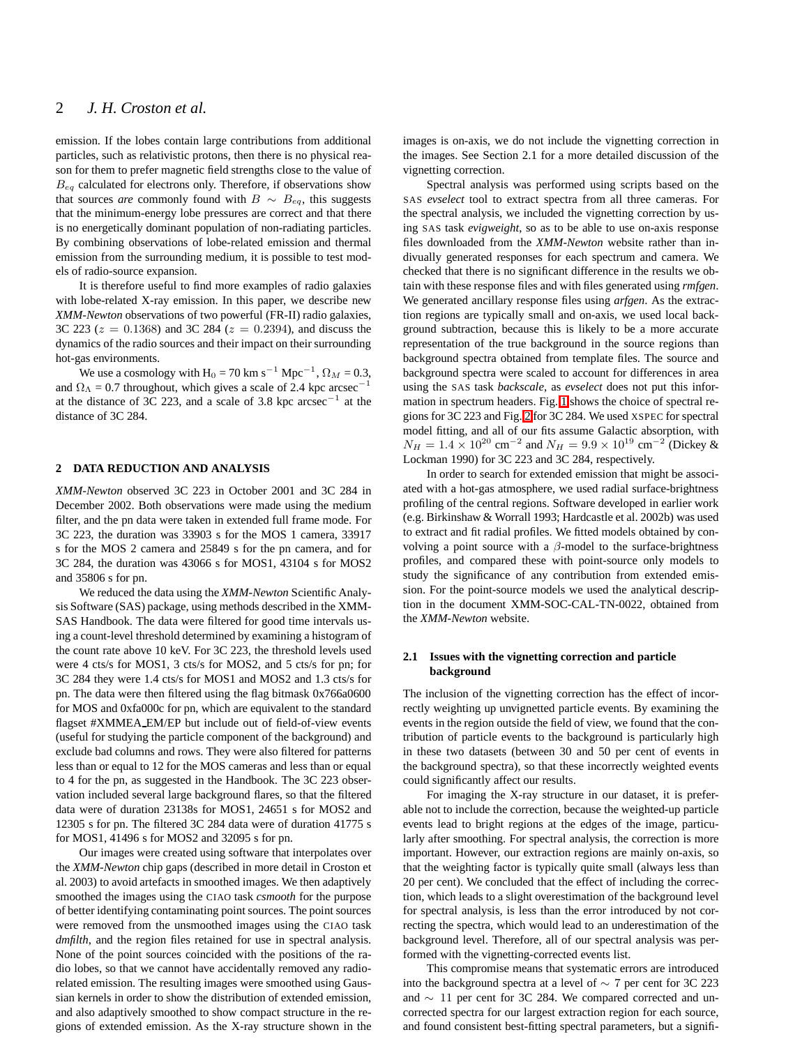# 2 *J. H. Croston et al.*

emission. If the lobes contain large contributions from additional particles, such as relativistic protons, then there is no physical reason for them to prefer magnetic field strengths close to the value of  $B_{eq}$  calculated for electrons only. Therefore, if observations show that sources *are* commonly found with  $B \sim B_{eq}$ , this suggests that the minimum-energy lobe pressures are correct and that there is no energetically dominant population of non-radiating particles. By combining observations of lobe-related emission and thermal emission from the surrounding medium, it is possible to test models of radio-source expansion.

It is therefore useful to find more examples of radio galaxies with lobe-related X-ray emission. In this paper, we describe new *XMM-Newton* observations of two powerful (FR-II) radio galaxies, 3C 223 ( $z = 0.1368$ ) and 3C 284 ( $z = 0.2394$ ), and discuss the dynamics of the radio sources and their impact on their surrounding hot-gas environments.

We use a cosmology with H<sub>0</sub> = 70 km s<sup>-1</sup> Mpc<sup>-1</sup>,  $\Omega_M$  = 0.3, and  $\Omega_{\Lambda} = 0.7$  throughout, which gives a scale of 2.4 kpc arcsec<sup>-1</sup> at the distance of 3C 223, and a scale of 3.8 kpc  $\arccos^{-1}$  at the distance of 3C 284.

## **2 DATA REDUCTION AND ANALYSIS**

*XMM-Newton* observed 3C 223 in October 2001 and 3C 284 in December 2002. Both observations were made using the medium filter, and the pn data were taken in extended full frame mode. For 3C 223, the duration was 33903 s for the MOS 1 camera, 33917 s for the MOS 2 camera and 25849 s for the pn camera, and for 3C 284, the duration was 43066 s for MOS1, 43104 s for MOS2 and 35806 s for pn.

We reduced the data using the *XMM-Newton* Scientific Analysis Software (SAS) package, using methods described in the XMM-SAS Handbook. The data were filtered for good time intervals using a count-level threshold determined by examining a histogram of the count rate above 10 keV. For 3C 223, the threshold levels used were 4 cts/s for MOS1, 3 cts/s for MOS2, and 5 cts/s for pn; for 3C 284 they were 1.4 cts/s for MOS1 and MOS2 and 1.3 cts/s for pn. The data were then filtered using the flag bitmask 0x766a0600 for MOS and 0xfa000c for pn, which are equivalent to the standard flagset #XMMEA EM/EP but include out of field-of-view events (useful for studying the particle component of the background) and exclude bad columns and rows. They were also filtered for patterns less than or equal to 12 for the MOS cameras and less than or equal to 4 for the pn, as suggested in the Handbook. The 3C 223 observation included several large background flares, so that the filtered data were of duration 23138s for MOS1, 24651 s for MOS2 and 12305 s for pn. The filtered 3C 284 data were of duration 41775 s for MOS1, 41496 s for MOS2 and 32095 s for pn.

Our images were created using software that interpolates over the *XMM-Newton* chip gaps (described in more detail in Croston et al. 2003) to avoid artefacts in smoothed images. We then adaptively smoothed the images using the CIAO task *csmooth* for the purpose of better identifying contaminating point sources. The point sources were removed from the unsmoothed images using the CIAO task *dmfilth*, and the region files retained for use in spectral analysis. None of the point sources coincided with the positions of the radio lobes, so that we cannot have accidentally removed any radiorelated emission. The resulting images were smoothed using Gaussian kernels in order to show the distribution of extended emission, and also adaptively smoothed to show compact structure in the regions of extended emission. As the X-ray structure shown in the

images is on-axis, we do not include the vignetting correction in the images. See Section 2.1 for a more detailed discussion of the vignetting correction.

Spectral analysis was performed using scripts based on the SAS *evselect* tool to extract spectra from all three cameras. For the spectral analysis, we included the vignetting correction by using SAS task *evigweight*, so as to be able to use on-axis response files downloaded from the *XMM-Newton* website rather than indivually generated responses for each spectrum and camera. We checked that there is no significant difference in the results we obtain with these response files and with files generated using *rmfgen*. We generated ancillary response files using *arfgen*. As the extraction regions are typically small and on-axis, we used local background subtraction, because this is likely to be a more accurate representation of the true background in the source regions than background spectra obtained from template files. The source and background spectra were scaled to account for differences in area using the SAS task *backscale*, as *evselect* does not put this information in spectrum headers. Fig. [1](#page-2-0) shows the choice of spectral regions for 3C 223 and Fig. [2](#page-3-0) for 3C 284. We used XSPEC for spectral model fitting, and all of our fits assume Galactic absorption, with  $N_H = 1.4 \times 10^{20}$  cm<sup>-2</sup> and  $N_H = 9.9 \times 10^{19}$  cm<sup>-2</sup> (Dickey & Lockman 1990) for 3C 223 and 3C 284, respectively.

In order to search for extended emission that might be associated with a hot-gas atmosphere, we used radial surface-brightness profiling of the central regions. Software developed in earlier work (e.g. Birkinshaw & Worrall 1993; Hardcastle et al. 2002b) was used to extract and fit radial profiles. We fitted models obtained by convolving a point source with a  $\beta$ -model to the surface-brightness profiles, and compared these with point-source only models to study the significance of any contribution from extended emission. For the point-source models we used the analytical description in the document XMM-SOC-CAL-TN-0022, obtained from the *XMM-Newton* website.

#### **2.1 Issues with the vignetting correction and particle background**

The inclusion of the vignetting correction has the effect of incorrectly weighting up unvignetted particle events. By examining the events in the region outside the field of view, we found that the contribution of particle events to the background is particularly high in these two datasets (between 30 and 50 per cent of events in the background spectra), so that these incorrectly weighted events could significantly affect our results.

For imaging the X-ray structure in our dataset, it is preferable not to include the correction, because the weighted-up particle events lead to bright regions at the edges of the image, particularly after smoothing. For spectral analysis, the correction is more important. However, our extraction regions are mainly on-axis, so that the weighting factor is typically quite small (always less than 20 per cent). We concluded that the effect of including the correction, which leads to a slight overestimation of the background level for spectral analysis, is less than the error introduced by not correcting the spectra, which would lead to an underestimation of the background level. Therefore, all of our spectral analysis was performed with the vignetting-corrected events list.

This compromise means that systematic errors are introduced into the background spectra at a level of ∼ 7 per cent for 3C 223 and ∼ 11 per cent for 3C 284. We compared corrected and uncorrected spectra for our largest extraction region for each source, and found consistent best-fitting spectral parameters, but a signifi-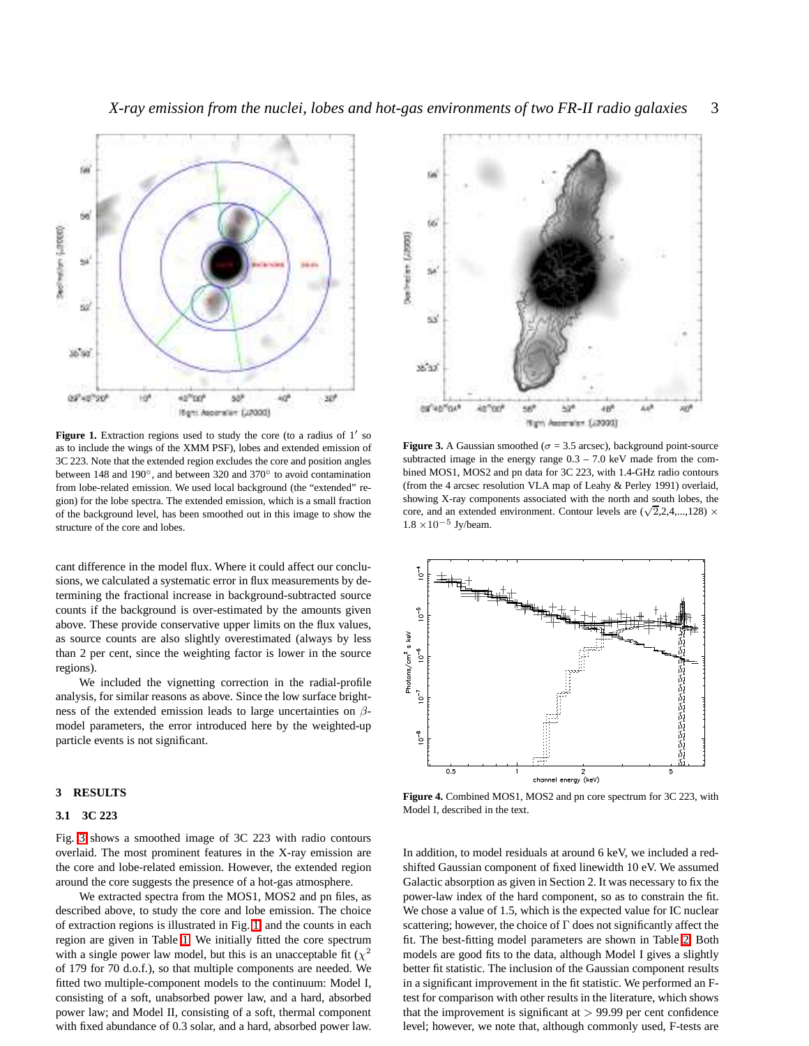

<span id="page-2-0"></span>Figure 1. Extraction regions used to study the core (to a radius of 1' so as to include the wings of the XMM PSF), lobes and extended emission of 3C 223. Note that the extended region excludes the core and position angles between 148 and 190°, and between 320 and 370° to avoid contamination from lobe-related emission. We used local background (the "extended" region) for the lobe spectra. The extended emission, which is a small fraction of the background level, has been smoothed out in this image to show the structure of the core and lobes.

cant difference in the model flux. Where it could affect our conclusions, we calculated a systematic error in flux measurements by determining the fractional increase in background-subtracted source counts if the background is over-estimated by the amounts given above. These provide conservative upper limits on the flux values, as source counts are also slightly overestimated (always by less than 2 per cent, since the weighting factor is lower in the source regions).

We included the vignetting correction in the radial-profile analysis, for similar reasons as above. Since the low surface brightness of the extended emission leads to large uncertainties on  $\beta$ model parameters, the error introduced here by the weighted-up particle events is not significant.

#### **3 RESULTS**

#### **3.1 3C 223**

Fig. [3](#page-2-1) shows a smoothed image of 3C 223 with radio contours overlaid. The most prominent features in the X-ray emission are the core and lobe-related emission. However, the extended region around the core suggests the presence of a hot-gas atmosphere.

We extracted spectra from the MOS1, MOS2 and pn files, as described above, to study the core and lobe emission. The choice of extraction regions is illustrated in Fig. [1,](#page-2-0) and the counts in each region are given in Table [1.](#page-3-1) We initially fitted the core spectrum with a single power law model, but this is an unacceptable fit  $(\chi^2)$ of 179 for 70 d.o.f.), so that multiple components are needed. We fitted two multiple-component models to the continuum: Model I, consisting of a soft, unabsorbed power law, and a hard, absorbed power law; and Model II, consisting of a soft, thermal component with fixed abundance of 0.3 solar, and a hard, absorbed power law.



<span id="page-2-1"></span>**Figure 3.** A Gaussian smoothed ( $\sigma$  = 3.5 arcsec), background point-source subtracted image in the energy range  $0.3 - 7.0$  keV made from the combined MOS1, MOS2 and pn data for 3C 223, with 1.4-GHz radio contours (from the 4 arcsec resolution VLA map of Leahy & Perley 1991) overlaid, showing X-ray components associated with the north and south lobes, the core, and an extended environment. Contour levels are  $(\sqrt{2},2,4,...,128)$  × 1.8  $\times$ 10<sup>-5</sup> Jy/beam.



<span id="page-2-2"></span>**Figure 4.** Combined MOS1, MOS2 and pn core spectrum for 3C 223, with Model I, described in the text.

In addition, to model residuals at around 6 keV, we included a redshifted Gaussian component of fixed linewidth 10 eV. We assumed Galactic absorption as given in Section 2. It was necessary to fix the power-law index of the hard component, so as to constrain the fit. We chose a value of 1.5, which is the expected value for IC nuclear scattering; however, the choice of  $\Gamma$  does not significantly affect the fit. The best-fitting model parameters are shown in Table [2.](#page-4-0) Both models are good fits to the data, although Model I gives a slightly better fit statistic. The inclusion of the Gaussian component results in a significant improvement in the fit statistic. We performed an Ftest for comparison with other results in the literature, which shows that the improvement is significant at  $> 99.99$  per cent confidence level; however, we note that, although commonly used, F-tests are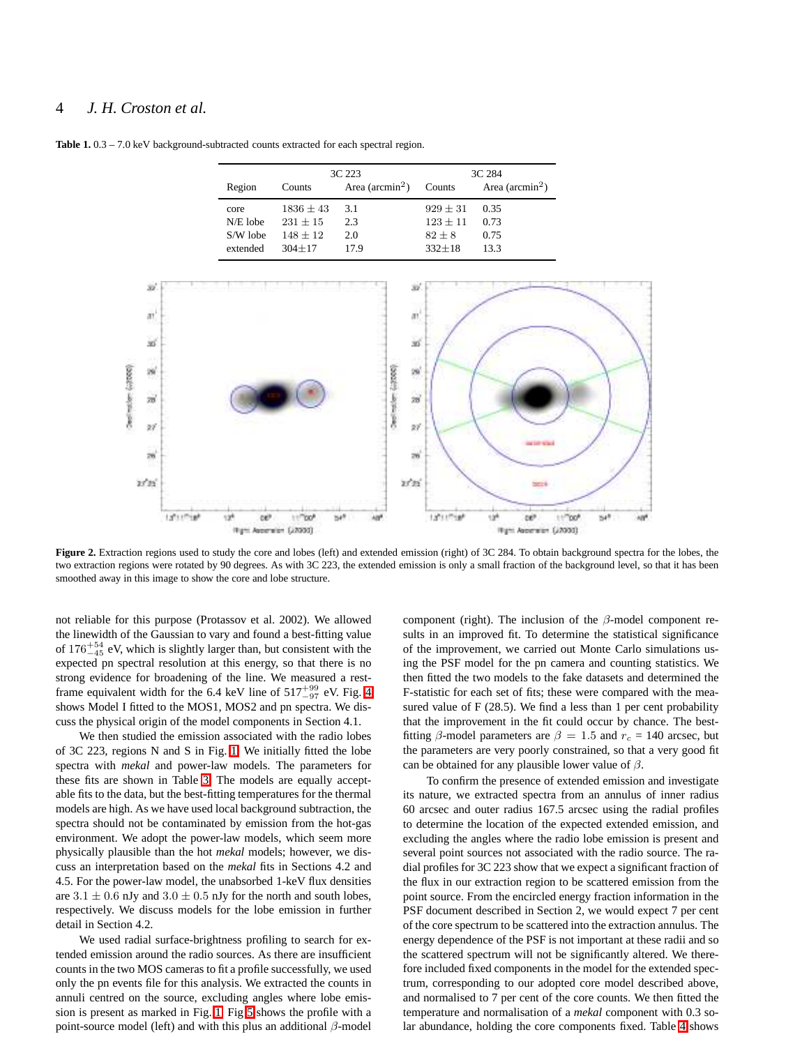## 4 *J. H. Croston et al.*

<span id="page-3-1"></span>Table 1. 0.3 – 7.0 keV background-subtracted counts extracted for each spectral region.

|            | 3C 223      |                    | 3C 284     |                    |
|------------|-------------|--------------------|------------|--------------------|
| Region     | Counts      | Area ( $arcmin2$ ) | Counts     | Area ( $arcmin2$ ) |
| core       | $1836 + 43$ | 3.1                | $929 + 31$ | 0.35               |
| $N/E$ lobe | $231 + 15$  | 2.3                | $123 + 11$ | 0.73               |
| S/W lobe   | $148 + 12$  | 2.0                | $82 + 8$   | 0.75               |
| extended   | $304 + 17$  | 17.9               | $332 + 18$ | 13.3               |



<span id="page-3-0"></span>**Figure 2.** Extraction regions used to study the core and lobes (left) and extended emission (right) of 3C 284. To obtain background spectra for the lobes, the two extraction regions were rotated by 90 degrees. As with 3C 223, the extended emission is only a small fraction of the background level, so that it has been smoothed away in this image to show the core and lobe structure.

not reliable for this purpose (Protassov et al. 2002). We allowed the linewidth of the Gaussian to vary and found a best-fitting value of  $176^{+54}_{-45}$  eV, which is slightly larger than, but consistent with the expected pn spectral resolution at this energy, so that there is no strong evidence for broadening of the line. We measured a restframe equivalent width for the 6.4 keV line of  $517^{+99}_{-97}$  eV. Fig. [4](#page-2-2) shows Model I fitted to the MOS1, MOS2 and pn spectra. We discuss the physical origin of the model components in Section 4.1.

We then studied the emission associated with the radio lobes of 3C 223, regions N and S in Fig. [1.](#page-2-0) We initially fitted the lobe spectra with *mekal* and power-law models. The parameters for these fits are shown in Table [3.](#page-6-0) The models are equally acceptable fits to the data, but the best-fitting temperatures for the thermal models are high. As we have used local background subtraction, the spectra should not be contaminated by emission from the hot-gas environment. We adopt the power-law models, which seem more physically plausible than the hot *mekal* models; however, we discuss an interpretation based on the *mekal* fits in Sections 4.2 and 4.5. For the power-law model, the unabsorbed 1-keV flux densities are  $3.1 \pm 0.6$  nJy and  $3.0 \pm 0.5$  nJy for the north and south lobes, respectively. We discuss models for the lobe emission in further detail in Section 4.2.

We used radial surface-brightness profiling to search for extended emission around the radio sources. As there are insufficient counts in the two MOS cameras to fit a profile successfully, we used only the pn events file for this analysis. We extracted the counts in annuli centred on the source, excluding angles where lobe emission is present as marked in Fig. [1.](#page-2-0) Fig [5](#page-4-1) shows the profile with a point-source model (left) and with this plus an additional  $\beta$ -model component (right). The inclusion of the  $\beta$ -model component results in an improved fit. To determine the statistical significance of the improvement, we carried out Monte Carlo simulations using the PSF model for the pn camera and counting statistics. We then fitted the two models to the fake datasets and determined the F-statistic for each set of fits; these were compared with the measured value of F (28.5). We find a less than 1 per cent probability that the improvement in the fit could occur by chance. The bestfitting  $\beta$ -model parameters are  $\beta = 1.5$  and  $r_c = 140$  arcsec, but the parameters are very poorly constrained, so that a very good fit can be obtained for any plausible lower value of  $\beta$ .

To confirm the presence of extended emission and investigate its nature, we extracted spectra from an annulus of inner radius 60 arcsec and outer radius 167.5 arcsec using the radial profiles to determine the location of the expected extended emission, and excluding the angles where the radio lobe emission is present and several point sources not associated with the radio source. The radial profiles for 3C 223 show that we expect a significant fraction of the flux in our extraction region to be scattered emission from the point source. From the encircled energy fraction information in the PSF document described in Section 2, we would expect 7 per cent of the core spectrum to be scattered into the extraction annulus. The energy dependence of the PSF is not important at these radii and so the scattered spectrum will not be significantly altered. We therefore included fixed components in the model for the extended spectrum, corresponding to our adopted core model described above, and normalised to 7 per cent of the core counts. We then fitted the temperature and normalisation of a *mekal* component with 0.3 solar abundance, holding the core components fixed. Table [4](#page-5-0) shows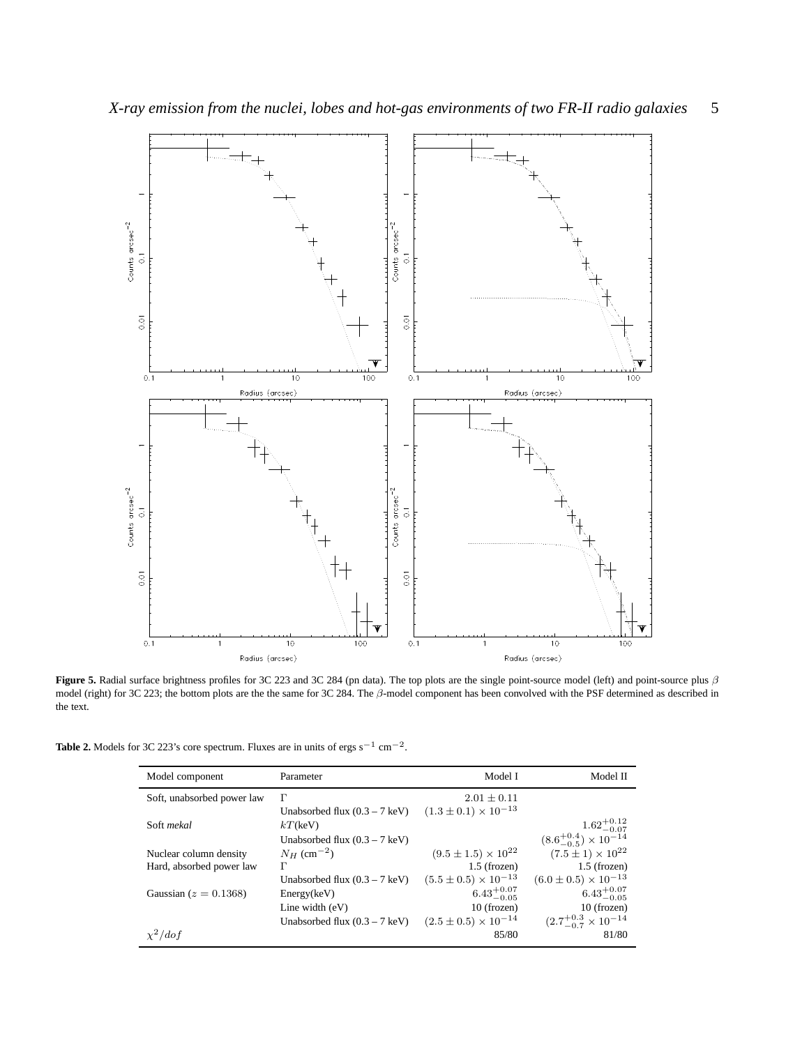

<span id="page-4-1"></span>**Figure 5.** Radial surface brightness profiles for 3C 223 and 3C 284 (pn data). The top plots are the single point-source model (left) and point-source plus β model (right) for 3C 223; the bottom plots are the the same for 3C 284. The β-model component has been convolved with the PSF determined as described in the text.

<span id="page-4-0"></span>**Table 2.** Models for 3C 223's core spectrum. Fluxes are in units of ergs s<sup>-1</sup> cm<sup>-2</sup>.

| Model component            | Parameter                               | Model I                         | Model II                              |
|----------------------------|-----------------------------------------|---------------------------------|---------------------------------------|
| Soft, unabsorbed power law | Г                                       | $2.01 \pm 0.11$                 |                                       |
|                            | Unabsorbed flux $(0.3 - 7 \text{ keV})$ | $(1.3 \pm 0.1) \times 10^{-13}$ |                                       |
| Soft mekal                 | $kT$ (keV)                              |                                 | $1.62^{+0.12}_{-0.07}$                |
|                            | Unabsorbed flux $(0.3 - 7 \text{ keV})$ |                                 | $(8.6^{+0.4}_{-0.5}) \times 10^{-14}$ |
| Nuclear column density     | $N_H$ (cm <sup>-2</sup> )               | $(9.5 \pm 1.5) \times 10^{22}$  | $(7.5 \pm 1) \times 10^{22}$          |
| Hard, absorbed power law   | Г                                       | $1.5$ (frozen)                  | $1.5$ (frozen)                        |
|                            | Unabsorbed flux $(0.3 - 7 \text{ keV})$ | $(5.5 \pm 0.5) \times 10^{-13}$ | $(6.0 \pm 0.5) \times 10^{-13}$       |
| Gaussian ( $z = 0.1368$ )  | Energy(keV)                             | $6.43^{+0.07}_{-0.05}$          | $6.43^{+0.07}_{-0.05}$                |
|                            | Line width $(eV)$                       | $10$ (frozen)                   | 10 (frozen)                           |
|                            | Unabsorbed flux $(0.3 - 7 \text{ keV})$ | $(2.5 \pm 0.5) \times 10^{-14}$ | $(2.7^{+0.3}_{-0.7} \times 10^{-14})$ |
| $\chi^2/dof$               |                                         | 85/80                           | 81/80                                 |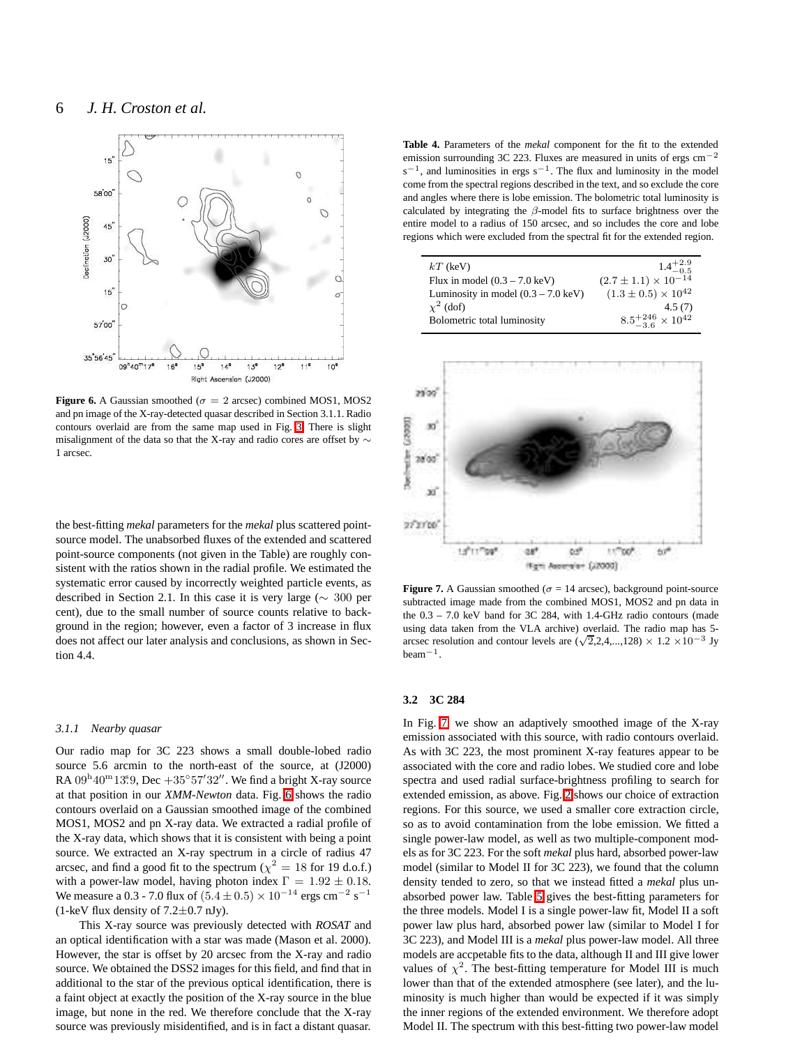

<span id="page-5-1"></span>**Figure 6.** A Gaussian smoothed ( $\sigma = 2$  arcsec) combined MOS1, MOS2 and pn image of the X-ray-detected quasar described in Section 3.1.1. Radio contours overlaid are from the same map used in Fig. [3.](#page-2-1) There is slight misalignment of the data so that the X-ray and radio cores are offset by ∼ 1 arcsec.

the best-fitting *mekal* parameters for the *mekal* plus scattered pointsource model. The unabsorbed fluxes of the extended and scattered point-source components (not given in the Table) are roughly consistent with the ratios shown in the radial profile. We estimated the systematic error caused by incorrectly weighted particle events, as described in Section 2.1. In this case it is very large (∼ 300 per cent), due to the small number of source counts relative to background in the region; however, even a factor of 3 increase in flux does not affect our later analysis and conclusions, as shown in Section 4.4.

#### *3.1.1 Nearby quasar*

Our radio map for 3C 223 shows a small double-lobed radio source 5.6 arcmin to the north-east of the source, at (J2000) RA  $09^{\text{h}}40^{\text{m}}13^{\text{s}}9$ , Dec  $+35^{\circ}57'32''$ . We find a bright X-ray source at that position in our *XMM-Newton* data. Fig. [6](#page-5-1) shows the radio contours overlaid on a Gaussian smoothed image of the combined MOS1, MOS2 and pn X-ray data. We extracted a radial profile of the X-ray data, which shows that it is consistent with being a point source. We extracted an X-ray spectrum in a circle of radius 47 arcsec, and find a good fit to the spectrum ( $\chi^2 = 18$  for 19 d.o.f.) with a power-law model, having photon index  $\Gamma = 1.92 \pm 0.18$ . We measure a 0.3 - 7.0 flux of  $(5.4 \pm 0.5) \times 10^{-14}$  ergs cm<sup>-2</sup> s<sup>-1</sup> (1-keV flux density of  $7.2 \pm 0.7$  nJy).

This X-ray source was previously detected with *ROSAT* and an optical identification with a star was made (Mason et al. 2000). However, the star is offset by 20 arcsec from the X-ray and radio source. We obtained the DSS2 images for this field, and find that in additional to the star of the previous optical identification, there is a faint object at exactly the position of the X-ray source in the blue image, but none in the red. We therefore conclude that the X-ray source was previously misidentified, and is in fact a distant quasar.

<span id="page-5-0"></span>**Table 4.** Parameters of the *mekal* component for the fit to the extended emission surrounding 3C 223. Fluxes are measured in units of ergs cm−<sup>2</sup>  $s^{-1}$ , and luminosities in ergs  $s^{-1}$ . The flux and luminosity in the model come from the spectral regions described in the text, and so exclude the core and angles where there is lobe emission. The bolometric total luminosity is calculated by integrating the  $\beta$ -model fits to surface brightness over the entire model to a radius of 150 arcsec, and so includes the core and lobe regions which were excluded from the spectral fit for the extended region.

| $kT$ (keV)                                    | $1.4^{+2.9}_{-0.5}$               |
|-----------------------------------------------|-----------------------------------|
| Flux in model $(0.3 - 7.0 \text{ keV})$       | $(2.7 \pm 1.1) \times 10^{-0.3}$  |
| Luminosity in model $(0.3 – 7.0 \text{ keV})$ | $(1.3 \pm 0.5) \times 10^{42}$    |
| $\chi^2$ (dof)                                | 4.5(7)                            |
| Bolometric total luminosity                   | $8.5^{+246}_{-3.6}\times 10^{42}$ |



<span id="page-5-2"></span>**Figure 7.** A Gaussian smoothed ( $\sigma = 14$  arcsec), background point-source subtracted image made from the combined MOS1, MOS2 and pn data in the 0.3 – 7.0 keV band for 3C 284, with 1.4-GHz radio contours (made using data taken from the VLA archive) overlaid. The radio map has 5 arcsec resolution and contour levels are  $(\sqrt{2},2,4,...,128) \times 1.2 \times 10^{-3}$  Jy beam−<sup>1</sup> .

#### **3.2 3C 284**

In Fig. [7,](#page-5-2) we show an adaptively smoothed image of the X-ray emission associated with this source, with radio contours overlaid. As with 3C 223, the most prominent X-ray features appear to be associated with the core and radio lobes. We studied core and lobe spectra and used radial surface-brightness profiling to search for extended emission, as above. Fig. [2](#page-3-0) shows our choice of extraction regions. For this source, we used a smaller core extraction circle, so as to avoid contamination from the lobe emission. We fitted a single power-law model, as well as two multiple-component models as for 3C 223. For the soft *mekal* plus hard, absorbed power-law model (similar to Model II for 3C 223), we found that the column density tended to zero, so that we instead fitted a *mekal* plus unabsorbed power law. Table [5](#page-6-1) gives the best-fitting parameters for the three models. Model I is a single power-law fit, Model II a soft power law plus hard, absorbed power law (similar to Model I for 3C 223), and Model III is a *mekal* plus power-law model. All three models are accpetable fits to the data, although II and III give lower values of  $\chi^2$ . The best-fitting temperature for Model III is much lower than that of the extended atmosphere (see later), and the luminosity is much higher than would be expected if it was simply the inner regions of the extended environment. We therefore adopt Model II. The spectrum with this best-fitting two power-law model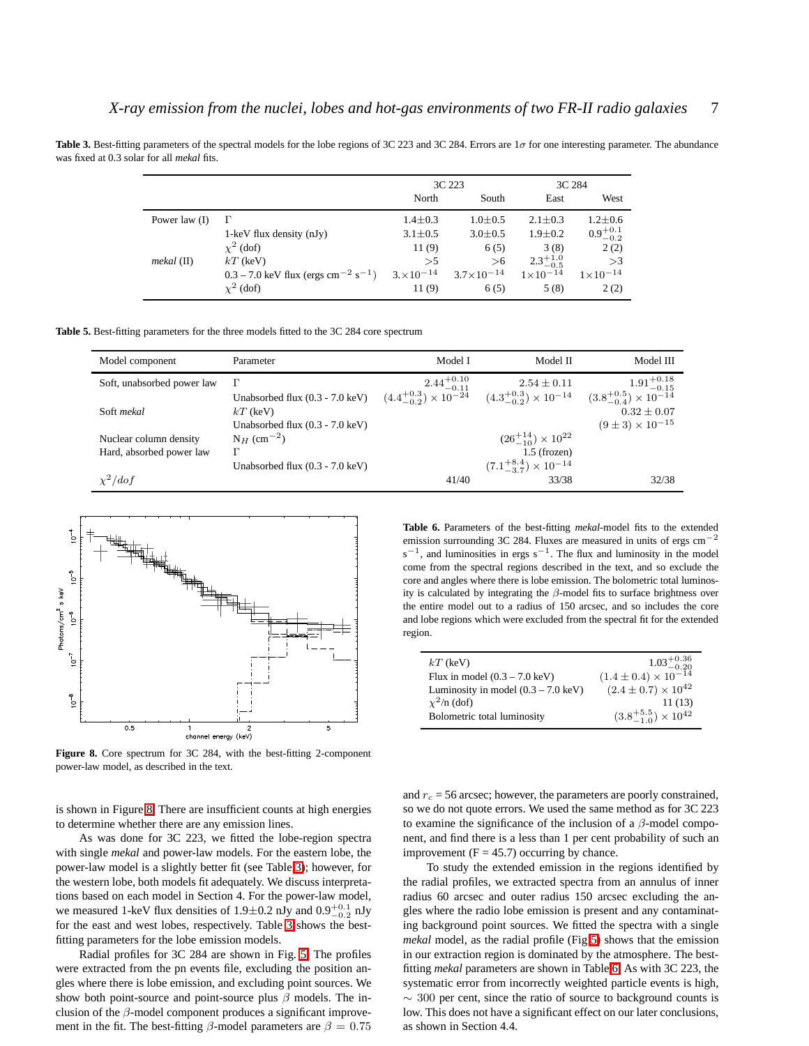<span id="page-6-0"></span>**Table 3.** Best-fitting parameters of the spectral models for the lobe regions of 3C 223 and 3C 284. Errors are 1σ for one interesting parameter. The abundance was fixed at 0.3 solar for all *mekal* fits.

|                 |                                                               | 3C 223               |                     | 3C 284              |                     |
|-----------------|---------------------------------------------------------------|----------------------|---------------------|---------------------|---------------------|
|                 |                                                               | North                | South               | East                | West                |
| Power law $(I)$ |                                                               | $1.4 \pm 0.3$        | $1.0 \pm 0.5$       | $2.1 \pm 0.3$       | $1.2 \pm 0.6$       |
|                 | $1$ -keV flux density (nJy)                                   | $3.1 \pm 0.5$        | $3.0 \pm 0.5$       | $1.9 \pm 0.2$       | $0.9^{+0.1}_{-0.2}$ |
|                 | $\chi^2$ (dof)                                                | 11(9)                | 6(5)                | 3(8)                | 2(2)                |
| $mekal$ (II)    | $kT$ (keV)                                                    | >5                   | >6                  | $2.3^{+1.0}_{-0.5}$ | >3                  |
|                 | $0.3 - 7.0$ keV flux (ergs cm <sup>-2</sup> s <sup>-1</sup> ) | $3. \times 10^{-14}$ | $3.7\times10^{-14}$ | $1 \times 10^{-14}$ | $1 \times 10^{-14}$ |
|                 | $\chi^2$ (dof)                                                | 11(9)                | 6(5)                | 5(8)                | 2(2)                |

<span id="page-6-1"></span>**Table 5.** Best-fitting parameters for the three models fitted to the 3C 284 core spectrum

| Model component            | Parameter                                 | Model I                | Model II                                                                                                          | Model III                   |
|----------------------------|-------------------------------------------|------------------------|-------------------------------------------------------------------------------------------------------------------|-----------------------------|
| Soft, unabsorbed power law | Г                                         | $2.44^{+0.10}_{-0.11}$ | $2.54 \pm 0.11$                                                                                                   | $1.91^{+0.18}_{-0.15}$      |
|                            | Unabsorbed flux $(0.3 - 7.0 \text{ keV})$ |                        | $(4.4^{+0.3}_{-0.2}) \times 10^{-24}$ $(4.3^{+0.3}_{-0.2}) \times 10^{-14}$ $(3.8^{+0.5}_{-0.4}) \times 10^{-14}$ |                             |
| Soft mekal                 | $kT$ (keV)                                |                        |                                                                                                                   | $0.32 \pm 0.07$             |
|                            | Unabsorbed flux $(0.3 - 7.0 \text{ keV})$ |                        |                                                                                                                   | $(9 \pm 3) \times 10^{-15}$ |
| Nuclear column density     | $N_H$ (cm <sup>-2</sup> )                 |                        | $(26^{+14}_{-10}) \times 10^{22}$                                                                                 |                             |
| Hard, absorbed power law   | г                                         |                        | $1.5$ (frozen)                                                                                                    |                             |
|                            | Unabsorbed flux $(0.3 - 7.0 \text{ keV})$ |                        | $(7.1^{+8.4}_{-3.7}) \times 10^{-14}$                                                                             |                             |
| $\chi^2/dof$               |                                           | 41/40                  | 33/38                                                                                                             | 32/38                       |



<span id="page-6-2"></span>Figure 8. Core spectrum for 3C 284, with the best-fitting 2-component power-law model, as described in the text.

is shown in Figure [8.](#page-6-2) There are insufficient counts at high energies to determine whether there are any emission lines.

As was done for 3C 223, we fitted the lobe-region spectra with single *mekal* and power-law models. For the eastern lobe, the power-law model is a slightly better fit (see Table [3\)](#page-6-0); however, for the western lobe, both models fit adequately. We discuss interpretations based on each model in Section 4. For the power-law model, we measured 1-keV flux densities of 1.9 $\pm$ 0.2 nJy and 0.9 $^{+0.1}_{-0.2}$  nJy for the east and west lobes, respectively. Table [3](#page-6-0) shows the bestfitting parameters for the lobe emission models.

Radial profiles for 3C 284 are shown in Fig. [5.](#page-4-1) The profiles were extracted from the pn events file, excluding the position angles where there is lobe emission, and excluding point sources. We show both point-source and point-source plus  $\beta$  models. The inclusion of the  $\beta$ -model component produces a significant improvement in the fit. The best-fitting  $\beta$ -model parameters are  $\beta = 0.75$  <span id="page-6-3"></span>**Table 6.** Parameters of the best-fitting *mekal*-model fits to the extended emission surrounding 3C 284. Fluxes are measured in units of ergs cm−<sup>2</sup>  $s^{-1}$ , and luminosities in ergs  $s^{-1}$ . The flux and luminosity in the model come from the spectral regions described in the text, and so exclude the core and angles where there is lobe emission. The bolometric total luminosity is calculated by integrating the  $\beta$ -model fits to surface brightness over the entire model out to a radius of 150 arcsec, and so includes the core and lobe regions which were excluded from the spectral fit for the extended region.

| $kT$ (keV)                                    | $1.03^{+0.36}_{-0.20}$               |
|-----------------------------------------------|--------------------------------------|
| Flux in model $(0.3 - 7.0 \text{ keV})$       | $(1.4 \pm 0.4) \times 10^{-14}$      |
| Luminosity in model $(0.3 – 7.0 \text{ keV})$ | $(2.4 \pm 0.7) \times 10^{42}$       |
| $\chi^2$ /n (dof)                             | 11 (13)                              |
| Bolometric total luminosity                   | $(3.8^{+5.5}_{-1.0}) \times 10^{42}$ |

and  $r_c = 56$  arcsec; however, the parameters are poorly constrained, so we do not quote errors. We used the same method as for 3C 223 to examine the significance of the inclusion of a  $\beta$ -model component, and find there is a less than 1 per cent probability of such an improvement ( $F = 45.7$ ) occurring by chance.

To study the extended emission in the regions identified by the radial profiles, we extracted spectra from an annulus of inner radius 60 arcsec and outer radius 150 arcsec excluding the angles where the radio lobe emission is present and any contaminating background point sources. We fitted the spectra with a single *mekal* model, as the radial profile (Fig [5\)](#page-4-1) shows that the emission in our extraction region is dominated by the atmosphere. The bestfitting *mekal* parameters are shown in Table [6.](#page-6-3) As with 3C 223, the systematic error from incorrectly weighted particle events is high, ∼ 300 per cent, since the ratio of source to background counts is low. This does not have a significant effect on our later conclusions, as shown in Section 4.4.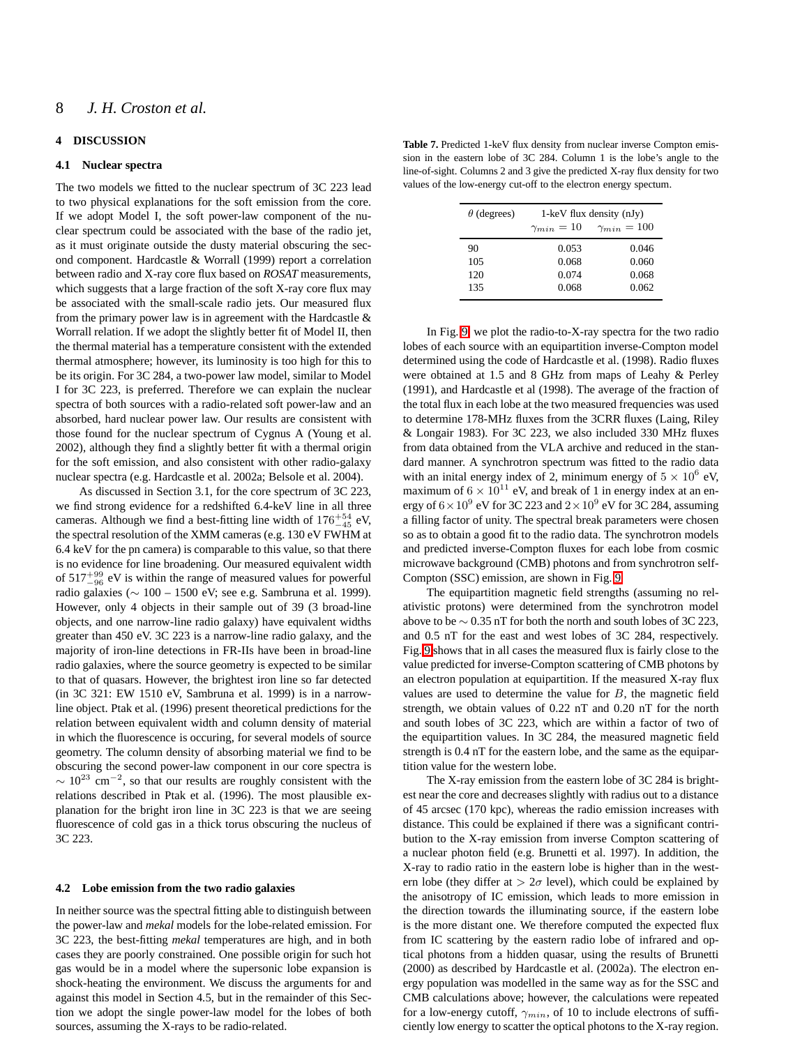#### **4 DISCUSSION**

#### **4.1 Nuclear spectra**

The two models we fitted to the nuclear spectrum of 3C 223 lead to two physical explanations for the soft emission from the core. If we adopt Model I, the soft power-law component of the nuclear spectrum could be associated with the base of the radio jet, as it must originate outside the dusty material obscuring the second component. Hardcastle & Worrall (1999) report a correlation between radio and X-ray core flux based on *ROSAT* measurements, which suggests that a large fraction of the soft X-ray core flux may be associated with the small-scale radio jets. Our measured flux from the primary power law is in agreement with the Hardcastle  $\&$ Worrall relation. If we adopt the slightly better fit of Model II, then the thermal material has a temperature consistent with the extended thermal atmosphere; however, its luminosity is too high for this to be its origin. For 3C 284, a two-power law model, similar to Model I for 3C 223, is preferred. Therefore we can explain the nuclear spectra of both sources with a radio-related soft power-law and an absorbed, hard nuclear power law. Our results are consistent with those found for the nuclear spectrum of Cygnus A (Young et al. 2002), although they find a slightly better fit with a thermal origin for the soft emission, and also consistent with other radio-galaxy nuclear spectra (e.g. Hardcastle et al. 2002a; Belsole et al. 2004).

As discussed in Section 3.1, for the core spectrum of 3C 223, we find strong evidence for a redshifted 6.4-keV line in all three cameras. Although we find a best-fitting line width of  $176^{+54}_{-45}$  eV, the spectral resolution of the XMM cameras (e.g. 130 eV FWHM at 6.4 keV for the pn camera) is comparable to this value, so that there is no evidence for line broadening. Our measured equivalent width of  $517^{+99}_{-96}$  eV is within the range of measured values for powerful radio galaxies (∼ 100 – 1500 eV; see e.g. Sambruna et al. 1999). However, only 4 objects in their sample out of 39 (3 broad-line objects, and one narrow-line radio galaxy) have equivalent widths greater than 450 eV. 3C 223 is a narrow-line radio galaxy, and the majority of iron-line detections in FR-IIs have been in broad-line radio galaxies, where the source geometry is expected to be similar to that of quasars. However, the brightest iron line so far detected (in 3C 321: EW 1510 eV, Sambruna et al. 1999) is in a narrowline object. Ptak et al. (1996) present theoretical predictions for the relation between equivalent width and column density of material in which the fluorescence is occuring, for several models of source geometry. The column density of absorbing material we find to be obscuring the second power-law component in our core spectra is  $\sim 10^{23}$  cm<sup>-2</sup>, so that our results are roughly consistent with the relations described in Ptak et al. (1996). The most plausible explanation for the bright iron line in 3C 223 is that we are seeing fluorescence of cold gas in a thick torus obscuring the nucleus of 3C 223.

#### **4.2 Lobe emission from the two radio galaxies**

In neither source was the spectral fitting able to distinguish between the power-law and *mekal* models for the lobe-related emission. For 3C 223, the best-fitting *mekal* temperatures are high, and in both cases they are poorly constrained. One possible origin for such hot gas would be in a model where the supersonic lobe expansion is shock-heating the environment. We discuss the arguments for and against this model in Section 4.5, but in the remainder of this Section we adopt the single power-law model for the lobes of both sources, assuming the X-rays to be radio-related.

<span id="page-7-0"></span>Table 7. Predicted 1-keV flux density from nuclear inverse Compton emission in the eastern lobe of 3C 284. Column 1 is the lobe's angle to the line-of-sight. Columns 2 and 3 give the predicted X-ray flux density for two values of the low-energy cut-off to the electron energy spectum.

| $\theta$ (degrees) | $1$ -keV flux density (nJy) |                      |  |
|--------------------|-----------------------------|----------------------|--|
|                    | $\gamma_{min}=10$           | $\gamma_{min} = 100$ |  |
| 90                 | 0.053                       | 0.046                |  |
| 105                | 0.068                       | 0.060                |  |
| 120                | 0.074                       | 0.068                |  |
| 135                | 0.068                       | 0.062                |  |
|                    |                             |                      |  |

In Fig. [9,](#page-9-0) we plot the radio-to-X-ray spectra for the two radio lobes of each source with an equipartition inverse-Compton model determined using the code of Hardcastle et al. (1998). Radio fluxes were obtained at 1.5 and 8 GHz from maps of Leahy & Perley (1991), and Hardcastle et al (1998). The average of the fraction of the total flux in each lobe at the two measured frequencies was used to determine 178-MHz fluxes from the 3CRR fluxes (Laing, Riley & Longair 1983). For 3C 223, we also included 330 MHz fluxes from data obtained from the VLA archive and reduced in the standard manner. A synchrotron spectrum was fitted to the radio data with an inital energy index of 2, minimum energy of  $5 \times 10^6$  eV, maximum of  $6 \times 10^{11}$  eV, and break of 1 in energy index at an energy of  $6 \times 10^9$  eV for 3C 223 and  $2 \times 10^9$  eV for 3C 284, assuming a filling factor of unity. The spectral break parameters were chosen so as to obtain a good fit to the radio data. The synchrotron models and predicted inverse-Compton fluxes for each lobe from cosmic microwave background (CMB) photons and from synchrotron self-Compton (SSC) emission, are shown in Fig. [9.](#page-9-0)

The equipartition magnetic field strengths (assuming no relativistic protons) were determined from the synchrotron model above to be  $\sim 0.35$  nT for both the north and south lobes of 3C 223, and 0.5 nT for the east and west lobes of 3C 284, respectively. Fig. [9](#page-9-0) shows that in all cases the measured flux is fairly close to the value predicted for inverse-Compton scattering of CMB photons by an electron population at equipartition. If the measured X-ray flux values are used to determine the value for  $B$ , the magnetic field strength, we obtain values of 0.22 nT and 0.20 nT for the north and south lobes of 3C 223, which are within a factor of two of the equipartition values. In 3C 284, the measured magnetic field strength is 0.4 nT for the eastern lobe, and the same as the equipartition value for the western lobe.

The X-ray emission from the eastern lobe of 3C 284 is brightest near the core and decreases slightly with radius out to a distance of 45 arcsec (170 kpc), whereas the radio emission increases with distance. This could be explained if there was a significant contribution to the X-ray emission from inverse Compton scattering of a nuclear photon field (e.g. Brunetti et al. 1997). In addition, the X-ray to radio ratio in the eastern lobe is higher than in the western lobe (they differ at  $> 2\sigma$  level), which could be explained by the anisotropy of IC emission, which leads to more emission in the direction towards the illuminating source, if the eastern lobe is the more distant one. We therefore computed the expected flux from IC scattering by the eastern radio lobe of infrared and optical photons from a hidden quasar, using the results of Brunetti (2000) as described by Hardcastle et al. (2002a). The electron energy population was modelled in the same way as for the SSC and CMB calculations above; however, the calculations were repeated for a low-energy cutoff,  $\gamma_{min}$ , of 10 to include electrons of sufficiently low energy to scatter the optical photons to the X-ray region.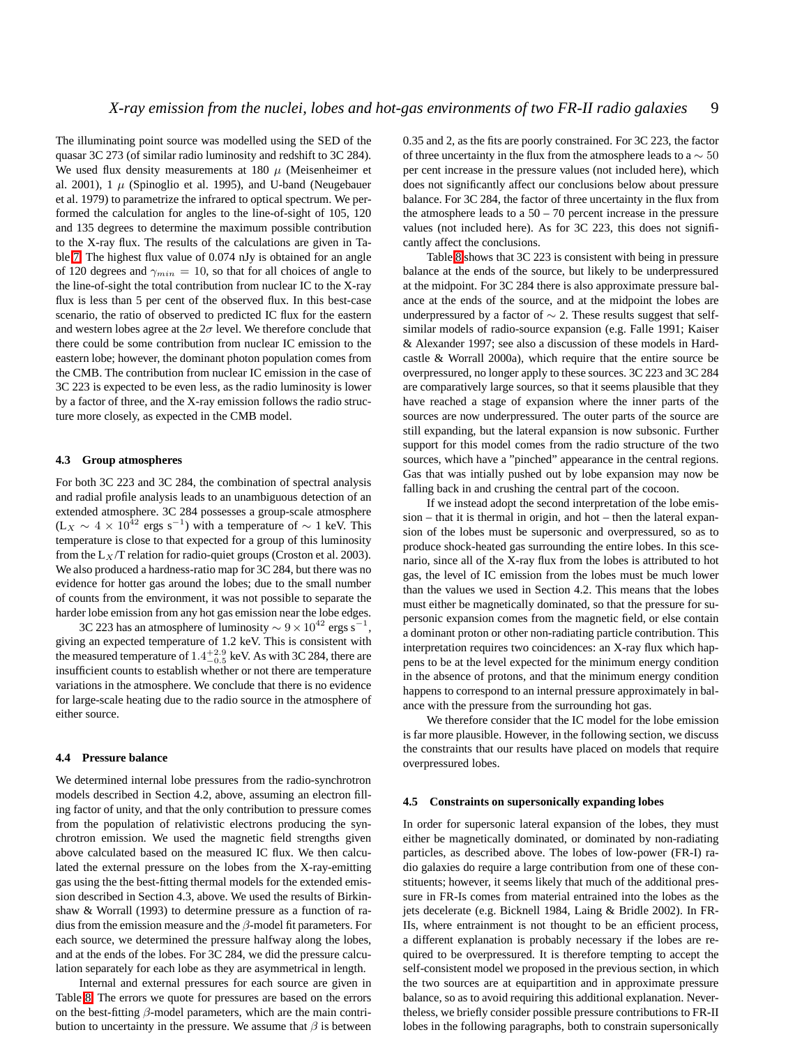The illuminating point source was modelled using the SED of the quasar 3C 273 (of similar radio luminosity and redshift to 3C 284). We used flux density measurements at 180  $\mu$  (Meisenheimer et al. 2001),  $1 \mu$  (Spinoglio et al. 1995), and U-band (Neugebauer et al. 1979) to parametrize the infrared to optical spectrum. We performed the calculation for angles to the line-of-sight of 105, 120 and 135 degrees to determine the maximum possible contribution to the X-ray flux. The results of the calculations are given in Table [7.](#page-7-0) The highest flux value of 0.074 nJy is obtained for an angle of 120 degrees and  $\gamma_{min} = 10$ , so that for all choices of angle to the line-of-sight the total contribution from nuclear IC to the X-ray flux is less than 5 per cent of the observed flux. In this best-case scenario, the ratio of observed to predicted IC flux for the eastern and western lobes agree at the  $2\sigma$  level. We therefore conclude that there could be some contribution from nuclear IC emission to the eastern lobe; however, the dominant photon population comes from the CMB. The contribution from nuclear IC emission in the case of 3C 223 is expected to be even less, as the radio luminosity is lower by a factor of three, and the X-ray emission follows the radio structure more closely, as expected in the CMB model.

#### **4.3 Group atmospheres**

For both 3C 223 and 3C 284, the combination of spectral analysis and radial profile analysis leads to an unambiguous detection of an extended atmosphere. 3C 284 possesses a group-scale atmosphere  $(L_X \sim 4 \times 10^{42}$  ergs s<sup>-1</sup>) with a temperature of  $\sim 1$  keV. This temperature is close to that expected for a group of this luminosity from the  $L_X/T$  relation for radio-quiet groups (Croston et al. 2003). We also produced a hardness-ratio map for 3C 284, but there was no evidence for hotter gas around the lobes; due to the small number of counts from the environment, it was not possible to separate the harder lobe emission from any hot gas emission near the lobe edges.

3C 223 has an atmosphere of luminosity  $\sim 9 \times 10^{42}$  ergs s<sup>−</sup> , giving an expected temperature of 1.2 keV. This is consistent with the measured temperature of  $1.4^{+2.9}_{-0.5}$  keV. As with 3C 284, there are insufficient counts to establish whether or not there are temperature variations in the atmosphere. We conclude that there is no evidence for large-scale heating due to the radio source in the atmosphere of either source.

#### **4.4 Pressure balance**

We determined internal lobe pressures from the radio-synchrotron models described in Section 4.2, above, assuming an electron filling factor of unity, and that the only contribution to pressure comes from the population of relativistic electrons producing the synchrotron emission. We used the magnetic field strengths given above calculated based on the measured IC flux. We then calculated the external pressure on the lobes from the X-ray-emitting gas using the the best-fitting thermal models for the extended emission described in Section 4.3, above. We used the results of Birkinshaw & Worrall (1993) to determine pressure as a function of radius from the emission measure and the  $\beta$ -model fit parameters. For each source, we determined the pressure halfway along the lobes, and at the ends of the lobes. For 3C 284, we did the pressure calculation separately for each lobe as they are asymmetrical in length.

Internal and external pressures for each source are given in Table [8.](#page-9-1) The errors we quote for pressures are based on the errors on the best-fitting  $\beta$ -model parameters, which are the main contribution to uncertainty in the pressure. We assume that  $\beta$  is between 0.35 and 2, as the fits are poorly constrained. For 3C 223, the factor of three uncertainty in the flux from the atmosphere leads to a  $\sim 50$ per cent increase in the pressure values (not included here), which does not significantly affect our conclusions below about pressure balance. For 3C 284, the factor of three uncertainty in the flux from the atmosphere leads to a  $50 - 70$  percent increase in the pressure values (not included here). As for 3C 223, this does not significantly affect the conclusions.

Table [8](#page-9-1) shows that 3C 223 is consistent with being in pressure balance at the ends of the source, but likely to be underpressured at the midpoint. For 3C 284 there is also approximate pressure balance at the ends of the source, and at the midpoint the lobes are underpressured by a factor of  $\sim$  2. These results suggest that selfsimilar models of radio-source expansion (e.g. Falle 1991; Kaiser & Alexander 1997; see also a discussion of these models in Hardcastle & Worrall 2000a), which require that the entire source be overpressured, no longer apply to these sources. 3C 223 and 3C 284 are comparatively large sources, so that it seems plausible that they have reached a stage of expansion where the inner parts of the sources are now underpressured. The outer parts of the source are still expanding, but the lateral expansion is now subsonic. Further support for this model comes from the radio structure of the two sources, which have a "pinched" appearance in the central regions. Gas that was intially pushed out by lobe expansion may now be falling back in and crushing the central part of the cocoon.

If we instead adopt the second interpretation of the lobe emission – that it is thermal in origin, and hot – then the lateral expansion of the lobes must be supersonic and overpressured, so as to produce shock-heated gas surrounding the entire lobes. In this scenario, since all of the X-ray flux from the lobes is attributed to hot gas, the level of IC emission from the lobes must be much lower than the values we used in Section 4.2. This means that the lobes must either be magnetically dominated, so that the pressure for supersonic expansion comes from the magnetic field, or else contain a dominant proton or other non-radiating particle contribution. This interpretation requires two coincidences: an X-ray flux which happens to be at the level expected for the minimum energy condition in the absence of protons, and that the minimum energy condition happens to correspond to an internal pressure approximately in balance with the pressure from the surrounding hot gas.

We therefore consider that the IC model for the lobe emission is far more plausible. However, in the following section, we discuss the constraints that our results have placed on models that require overpressured lobes.

#### **4.5 Constraints on supersonically expanding lobes**

In order for supersonic lateral expansion of the lobes, they must either be magnetically dominated, or dominated by non-radiating particles, as described above. The lobes of low-power (FR-I) radio galaxies do require a large contribution from one of these constituents; however, it seems likely that much of the additional pressure in FR-Is comes from material entrained into the lobes as the jets decelerate (e.g. Bicknell 1984, Laing & Bridle 2002). In FR-IIs, where entrainment is not thought to be an efficient process, a different explanation is probably necessary if the lobes are required to be overpressured. It is therefore tempting to accept the self-consistent model we proposed in the previous section, in which the two sources are at equipartition and in approximate pressure balance, so as to avoid requiring this additional explanation. Nevertheless, we briefly consider possible pressure contributions to FR-II lobes in the following paragraphs, both to constrain supersonically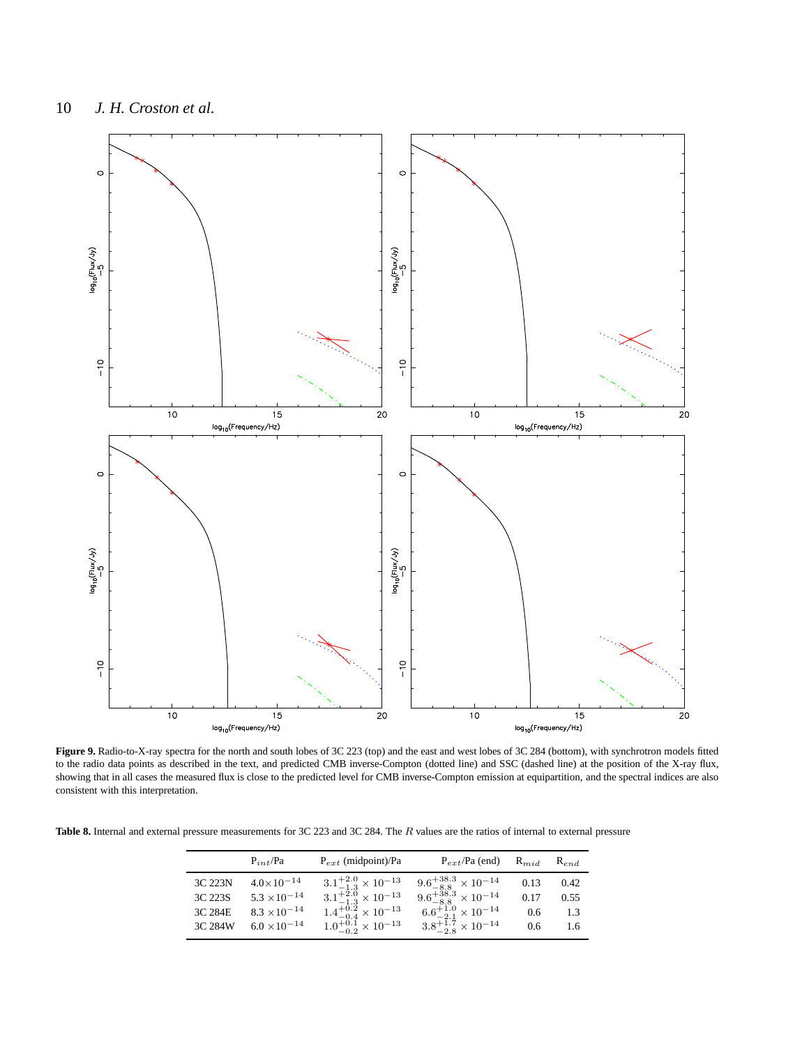

<span id="page-9-0"></span>**Figure 9.** Radio-to-X-ray spectra for the north and south lobes of 3C 223 (top) and the east and west lobes of 3C 284 (bottom), with synchrotron models fitted to the radio data points as described in the text, and predicted CMB inverse-Compton (dotted line) and SSC (dashed line) at the position of the X-ray flux, showing that in all cases the measured flux is close to the predicted level for CMB inverse-Compton emission at equipartition, and the spectral indices are also consistent with this interpretation.

<span id="page-9-1"></span>**Table 8.** Internal and external pressure measurements for 3C 223 and 3C 284. The R values are the ratios of internal to external pressure

|         | $P_{int}/Pa$          | $P_{ext}$ (midpoint)/Pa             | $P_{ext}/Pa$ (end)                                                                                     | $\mathrm{R}_{mid}$ | $R_{end}$ |
|---------|-----------------------|-------------------------------------|--------------------------------------------------------------------------------------------------------|--------------------|-----------|
| 3C 223N | $4.0\times10^{-14}$   | $3.1^{+2.0}_{-1.3}\times10^{-13}$   | $\begin{array}{c} 9.6^{+38.3}_{-8.8} \times 10^{-14}\\ 9.6^{+38.3}_{-8.8} \times 10^{-14} \end{array}$ | 0.13               | 0.42      |
| 3C 223S | $5.3 \times 10^{-14}$ | $3.1^{+2.0}_{-1.3}\times10^{-13}$   |                                                                                                        | 0.17               | 0.55      |
| 3C 284E | $8.3 \times 10^{-14}$ | $1.4^{+0.2}_{-0.4} \times 10^{-13}$ | $6.6^{+1.0}_{-2.1}\times10^{-14}$                                                                      | $0.6^{\circ}$      | 1.3       |
| 3C 284W | $6.0 \times 10^{-14}$ | $1.0^{+0.1}_{-0.2}\times10^{-13}$   | $3.8^{+1.7}_{-2.8} \times 10^{-14}$                                                                    | 0.6                | 1.6       |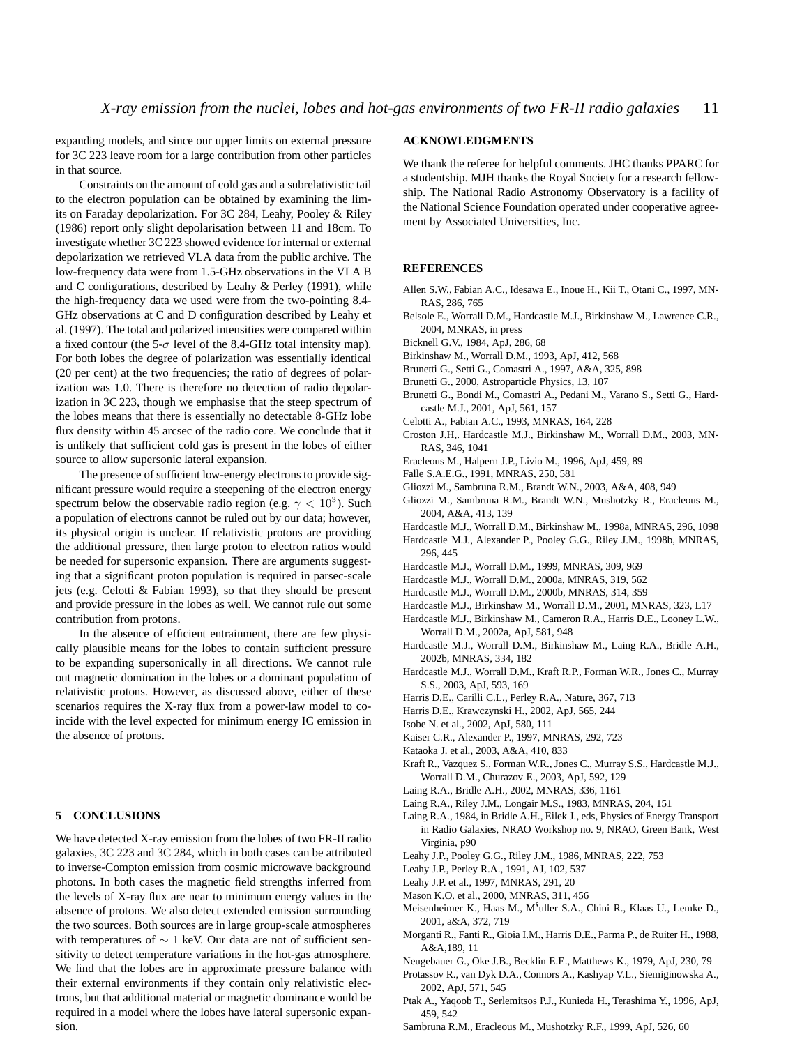expanding models, and since our upper limits on external pressure for 3C 223 leave room for a large contribution from other particles in that source.

Constraints on the amount of cold gas and a subrelativistic tail to the electron population can be obtained by examining the limits on Faraday depolarization. For 3C 284, Leahy, Pooley & Riley (1986) report only slight depolarisation between 11 and 18cm. To investigate whether 3C 223 showed evidence for internal or external depolarization we retrieved VLA data from the public archive. The low-frequency data were from 1.5-GHz observations in the VLA B and C configurations, described by Leahy & Perley (1991), while the high-frequency data we used were from the two-pointing 8.4- GHz observations at C and D configuration described by Leahy et al. (1997). The total and polarized intensities were compared within a fixed contour (the 5- $\sigma$  level of the 8.4-GHz total intensity map). For both lobes the degree of polarization was essentially identical (20 per cent) at the two frequencies; the ratio of degrees of polarization was 1.0. There is therefore no detection of radio depolarization in 3C 223, though we emphasise that the steep spectrum of the lobes means that there is essentially no detectable 8-GHz lobe flux density within 45 arcsec of the radio core. We conclude that it is unlikely that sufficient cold gas is present in the lobes of either source to allow supersonic lateral expansion.

The presence of sufficient low-energy electrons to provide significant pressure would require a steepening of the electron energy spectrum below the observable radio region (e.g.  $\gamma < 10^3$ ). Such a population of electrons cannot be ruled out by our data; however, its physical origin is unclear. If relativistic protons are providing the additional pressure, then large proton to electron ratios would be needed for supersonic expansion. There are arguments suggesting that a significant proton population is required in parsec-scale jets (e.g. Celotti & Fabian 1993), so that they should be present and provide pressure in the lobes as well. We cannot rule out some contribution from protons.

In the absence of efficient entrainment, there are few physically plausible means for the lobes to contain sufficient pressure to be expanding supersonically in all directions. We cannot rule out magnetic domination in the lobes or a dominant population of relativistic protons. However, as discussed above, either of these scenarios requires the X-ray flux from a power-law model to coincide with the level expected for minimum energy IC emission in the absence of protons.

#### **5 CONCLUSIONS**

We have detected X-ray emission from the lobes of two FR-II radio galaxies, 3C 223 and 3C 284, which in both cases can be attributed to inverse-Compton emission from cosmic microwave background photons. In both cases the magnetic field strengths inferred from the levels of X-ray flux are near to minimum energy values in the absence of protons. We also detect extended emission surrounding the two sources. Both sources are in large group-scale atmospheres with temperatures of ~ 1 keV. Our data are not of sufficient sensitivity to detect temperature variations in the hot-gas atmosphere. We find that the lobes are in approximate pressure balance with their external environments if they contain only relativistic electrons, but that additional material or magnetic dominance would be required in a model where the lobes have lateral supersonic expansion.

### **ACKNOWLEDGMENTS**

We thank the referee for helpful comments. JHC thanks PPARC for a studentship. MJH thanks the Royal Society for a research fellowship. The National Radio Astronomy Observatory is a facility of the National Science Foundation operated under cooperative agreement by Associated Universities, Inc.

#### <span id="page-10-0"></span>**REFERENCES**

- Allen S.W., Fabian A.C., Idesawa E., Inoue H., Kii T., Otani C., 1997, MN-RAS, 286, 765
- Belsole E., Worrall D.M., Hardcastle M.J., Birkinshaw M., Lawrence C.R., 2004, MNRAS, in press
- Bicknell G.V., 1984, ApJ, 286, 68
- Birkinshaw M., Worrall D.M., 1993, ApJ, 412, 568
- Brunetti G., Setti G., Comastri A., 1997, A&A, 325, 898
- Brunetti G., 2000, Astroparticle Physics, 13, 107
- Brunetti G., Bondi M., Comastri A., Pedani M., Varano S., Setti G., Hardcastle M.J., 2001, ApJ, 561, 157
- Celotti A., Fabian A.C., 1993, MNRAS, 164, 228
- Croston J.H,. Hardcastle M.J., Birkinshaw M., Worrall D.M., 2003, MN-RAS, 346, 1041
- Eracleous M., Halpern J.P., Livio M., 1996, ApJ, 459, 89
- Falle S.A.E.G., 1991, MNRAS, 250, 581
- Gliozzi M., Sambruna R.M., Brandt W.N., 2003, A&A, 408, 949
- Gliozzi M., Sambruna R.M., Brandt W.N., Mushotzky R., Eracleous M., 2004, A&A, 413, 139
- Hardcastle M.J., Worrall D.M., Birkinshaw M., 1998a, MNRAS, 296, 1098
- Hardcastle M.J., Alexander P., Pooley G.G., Riley J.M., 1998b, MNRAS, 296, 445
- Hardcastle M.J., Worrall D.M., 1999, MNRAS, 309, 969
- Hardcastle M.J., Worrall D.M., 2000a, MNRAS, 319, 562
- Hardcastle M.J., Worrall D.M., 2000b, MNRAS, 314, 359
- 
- Hardcastle M.J., Birkinshaw M., Worrall D.M., 2001, MNRAS, 323, L17
- Hardcastle M.J., Birkinshaw M., Cameron R.A., Harris D.E., Looney L.W., Worrall D.M., 2002a, ApJ, 581, 948
- Hardcastle M.J., Worrall D.M., Birkinshaw M., Laing R.A., Bridle A.H., 2002b, MNRAS, 334, 182
- Hardcastle M.J., Worrall D.M., Kraft R.P., Forman W.R., Jones C., Murray S.S., 2003, ApJ, 593, 169
- Harris D.E., Carilli C.L., Perley R.A., Nature, 367, 713
- Harris D.E., Krawczynski H., 2002, ApJ, 565, 244
- Isobe N. et al., 2002, ApJ, 580, 111
- Kaiser C.R., Alexander P., 1997, MNRAS, 292, 723
- Kataoka J. et al., 2003, A&A, 410, 833
- Kraft R., Vazquez S., Forman W.R., Jones C., Murray S.S., Hardcastle M.J., Worrall D.M., Churazov E., 2003, ApJ, 592, 129
- Laing R.A., Bridle A.H., 2002, MNRAS, 336, 1161
- Laing R.A., Riley J.M., Longair M.S., 1983, MNRAS, 204, 151
- Laing R.A., 1984, in Bridle A.H., Eilek J., eds, Physics of Energy Transport in Radio Galaxies, NRAO Workshop no. 9, NRAO, Green Bank, West Virginia, p90
- Leahy J.P., Pooley G.G., Riley J.M., 1986, MNRAS, 222, 753
- Leahy J.P., Perley R.A., 1991, AJ, 102, 537
- Leahy J.P. et al., 1997, MNRAS, 291, 20
- Mason K.O. et al., 2000, MNRAS, 311, 456
- Meisenheimer K., Haas M., M´'uller S.A., Chini R., Klaas U., Lemke D., 2001, a&A, 372, 719
- Morganti R., Fanti R., Gioia I.M., Harris D.E., Parma P., de Ruiter H., 1988, A&A,189, 11
- Neugebauer G., Oke J.B., Becklin E.E., Matthews K., 1979, ApJ, 230, 79
- Protassov R., van Dyk D.A., Connors A., Kashyap V.L., Siemiginowska A., 2002, ApJ, 571, 545
- Ptak A., Yaqoob T., Serlemitsos P.J., Kunieda H., Terashima Y., 1996, ApJ, 459, 542
- Sambruna R.M., Eracleous M., Mushotzky R.F., 1999, ApJ, 526, 60